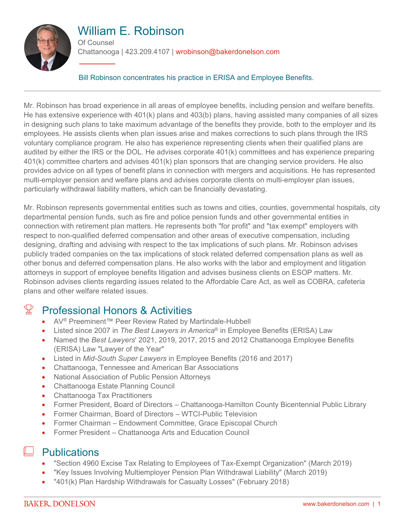

# William E. Robinson

Of Counsel

Chattanooga | 423.209.4107 | wrobinson@bakerdonelson.com

Bill Robinson concentrates his practice in ERISA and Employee Benefits.

Mr. Robinson has broad experience in all areas of employee benefits, including pension and welfare benefits. He has extensive experience with 401(k) plans and 403(b) plans, having assisted many companies of all sizes in designing such plans to take maximum advantage of the benefits they provide, both to the employer and its employees. He assists clients when plan issues arise and makes corrections to such plans through the IRS voluntary compliance program. He also has experience representing clients when their qualified plans are audited by either the IRS or the DOL. He advises corporate 401(k) committees and has experience preparing 401(k) committee charters and advises 401(k) plan sponsors that are changing service providers. He also provides advice on all types of benefit plans in connection with mergers and acquisitions. He has represented multi-employer pension and welfare plans and advises corporate clients on multi-employer plan issues, particularly withdrawal liability matters, which can be financially devastating.

Mr. Robinson represents governmental entities such as towns and cities, counties, governmental hospitals, city departmental pension funds, such as fire and police pension funds and other governmental entities in connection with retirement plan matters. He represents both "for profit" and "tax exempt" employers with respect to non-qualified deferred compensation and other areas of executive compensation, including designing, drafting and advising with respect to the tax implications of such plans. Mr. Robinson advises publicly traded companies on the tax implications of stock related deferred compensation plans as well as other bonus and deferred compensation plans. He also works with the labor and employment and litigation attorneys in support of employee benefits litigation and advises business clients on ESOP matters. Mr. Robinson advises clients regarding issues related to the Affordable Care Act, as well as COBRA, cafeteria plans and other welfare related issues.

# $\mathbb{X}$  Professional Honors & Activities

- AV<sup>®</sup> Preeminent™ Peer Review Rated by Martindale-Hubbell
- Listed since 2007 in *The Best Lawyers in America*® in Employee Benefits (ERISA) Law
- Named the *Best Lawyers*' 2021, 2019, 2017, 2015 and 2012 Chattanooga Employee Benefits (ERISA) Law "Lawyer of the Year"
- Listed in *Mid-South Super Lawyers* in Employee Benefits (2016 and 2017)
- Chattanooga, Tennessee and American Bar Associations
- National Association of Public Pension Attorneys
- Chattanooga Estate Planning Council
- Chattanooga Tax Practitioners
- Former President, Board of Directors Chattanooga-Hamilton County Bicentennial Public Library
- Former Chairman, Board of Directors WTCI-Public Television
- Former Chairman Endowment Committee, Grace Episcopal Church
- Former President Chattanooga Arts and Education Council

## **Publications**

- "Section 4960 Excise Tax Relating to Employees of Tax-Exempt Organization" (March 2019)
- "Key Issues Involving Multiemployer Pension Plan Withdrawal Liability" (March 2019)
- "401(k) Plan Hardship Withdrawals for Casualty Losses" (February 2018)